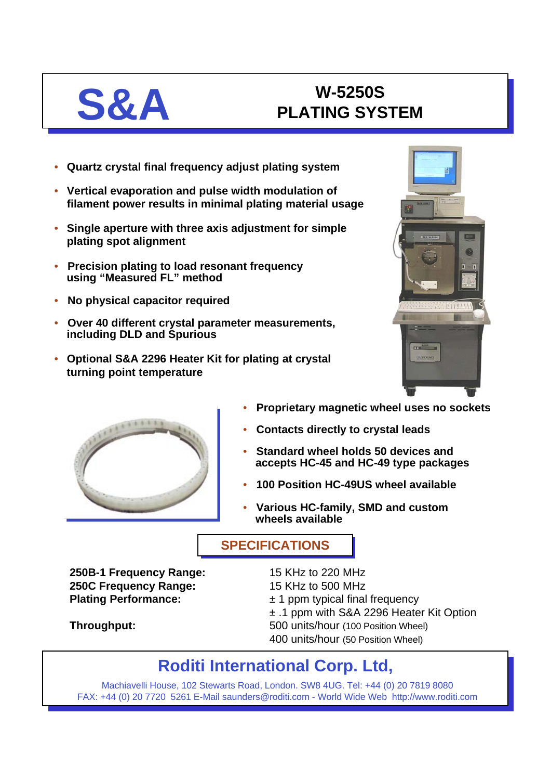# **S&A W-5250S PLATING SYSTEM**

- **Quartz crystal final frequency adjust plating system**
- **Vertical evaporation and pulse width modulation of filament power results in minimal plating material usage**
- **Single aperture with three axis adjustment for simple plating spot alignment**
- **Precision plating to load resonant frequency using "Measured FL" method**
- **No physical capacitor required**
- **Over 40 different crystal parameter measurements, including DLD and Spurious**
- **Optional S&A 2296 Heater Kit for plating at crystal turning point temperature**





- **Proprietary magnetic wheel uses no sockets**
- **Contacts directly to crystal leads**
- **Standard wheel holds 50 devices and accepts HC-45 and HC-49 type packages**
- **100 Position HC-49US wheel available**
- **Various HC-family, SMD and custom wheels available**

## **SPECIFICATIONS SPECIFICATIONS**

**250B-1 Frequency Range:** 15 KHz to 220 MHz **250C Frequency Range:** 15 KHz to 500 MHz

- 
- **Plating Performance:**  $\qquad \qquad \pm 1$  ppm typical final frequency
	- ± .1 ppm with S&A 2296 Heater Kit Option
- **Throughput:** 500 units/hour (100 Position Wheel)
	- 400 units/hour (50 Position Wheel)

# **Roditi International Corp. Ltd,**

Machiavelli House, 102 Stewarts Road, London. SW8 4UG. Tel: +44 (0) 20 7819 8080 FAX: +44 (0) 20 7720 5261 E-Mail saunders@roditi.com - World Wide Web http://www.roditi.com